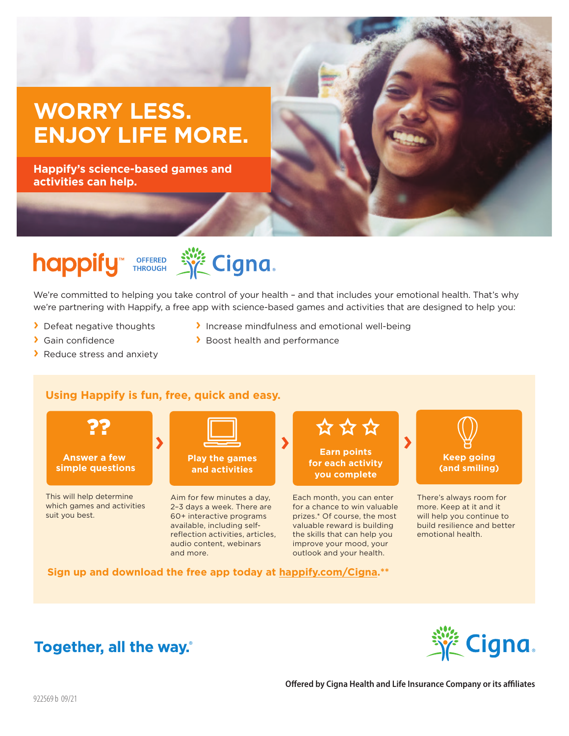## **WORRY LESS. ENJOY LIFE MORE.**

**Happify's science-based games and activities can help.**



# happify THROUGH SECTION

We're committed to helping you take control of your health – and that includes your emotional health. That's why we're partnering with Happify, a free app with science-based games and activities that are designed to help you:

› Boost health and performance

› Increase mindfulness and emotional well-being

- › Defeat negative thoughts
- › Gain confidence
- › Reduce stress and anxiety

#### **Using Happify is fun, free, quick and easy.**



This will help determine which games and activities suit you best.



**Play the games and activities**

Aim for few minutes a day, 2–3 days a week. There are 60+ interactive programs available, including selfreflection activities, articles, audio content, webinars and more.



Each month, you can enter for a chance to win valuable prizes.\* Of course, the most valuable reward is building the skills that can help you improve your mood, your outlook and your health.



There's always room for more. Keep at it and it will help you continue to build resilience and better emotional health.

**Sign up and download the free app today at happify.com/Cigna.\*\***

### Together, all the way.



**Offered by Cigna Health and Life Insurance Company or its affiliates**